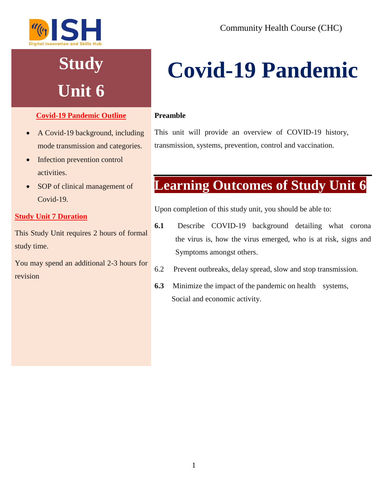

## **Study Unit 6**

#### **Covid-19 Pandemic Outline**

- A Covid-19 background, including mode transmission and categories.
- Infection prevention control activities.
- SOP of clinical management of Covid-19.

#### **Study Unit 7 Duration**

This Study Unit requires 2 hours of formal study time.

You may spend an additional 2-3 hours for revision

# **Covid-19 Pandemic**

#### **Preamble**

This unit will provide an overview of COVID-19 history, transmission, systems, prevention, control and vaccination.

## **Learning Outcomes of Study Unit 6**

Upon completion of this study unit, you should be able to:

- **6.1** Describe COVID-19 background detailing what corona the virus is, how the virus emerged, who is at risk, signs and Symptoms amongst others.
- 6.2 Prevent outbreaks, delay spread, slow and stop transmission.
- **6.3** Minimize the impact of the pandemic on health systems, Social and economic activity.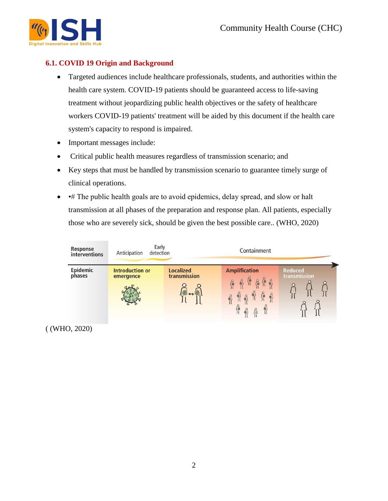

#### **6.1. COVID 19 Origin and Background**

- Targeted audiences include healthcare professionals, students, and authorities within the health care system. COVID-19 patients should be guaranteed access to life-saving treatment without jeopardizing public health objectives or the safety of healthcare workers COVID-19 patients' treatment will be aided by this document if the health care system's capacity to respond is impaired.
- Important messages include:
- Critical public health measures regardless of transmission scenario; and
- Key steps that must be handled by transmission scenario to guarantee timely surge of clinical operations.
- • # The public health goals are to avoid epidemics, delay spread, and slow or halt transmission at all phases of the preparation and response plan. All patients, especially those who are severely sick, should be given the best possible care.. (WHO, 2020)



( (WHO, 2020)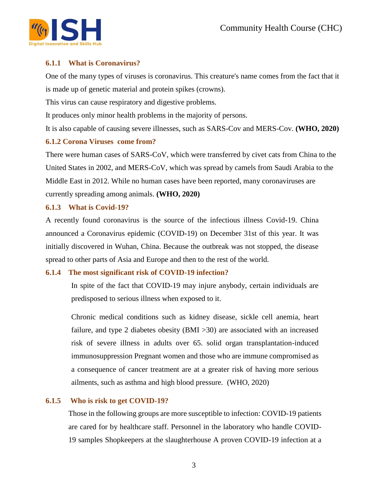

#### **6.1.1 What is Coronavirus?**

One of the many types of viruses is coronavirus. This creature's name comes from the fact that it is made up of genetic material and protein spikes (crowns).

This virus can cause respiratory and digestive problems.

It produces only minor health problems in the majority of persons.

It is also capable of causing severe illnesses, such as SARS-Cov and MERS-Cov. **(WHO, 2020)**

#### **6.1.2 Corona Viruses come from?**

There were human cases of SARS-CoV, which were transferred by civet cats from China to the United States in 2002, and MERS-CoV, which was spread by camels from Saudi Arabia to the Middle East in 2012. While no human cases have been reported, many coronaviruses are currently spreading among animals. **(WHO, 2020)**

#### **6.1.3 What is Covid-19?**

A recently found coronavirus is the source of the infectious illness Covid-19. China announced a Coronavirus epidemic (COVID-19) on December 31st of this year. It was initially discovered in Wuhan, China. Because the outbreak was not stopped, the disease spread to other parts of Asia and Europe and then to the rest of the world.

#### **6.1.4 The most significant risk of COVID-19 infection?**

In spite of the fact that COVID-19 may injure anybody, certain individuals are predisposed to serious illness when exposed to it.

Chronic medical conditions such as kidney disease, sickle cell anemia, heart failure, and type 2 diabetes obesity (BMI >30) are associated with an increased risk of severe illness in adults over 65. solid organ transplantation-induced immunosuppression Pregnant women and those who are immune compromised as a consequence of cancer treatment are at a greater risk of having more serious ailments, such as asthma and high blood pressure. (WHO, 2020)

#### **6.1.5 Who is risk to get COVID-19?**

Those in the following groups are more susceptible to infection: COVID-19 patients are cared for by healthcare staff. Personnel in the laboratory who handle COVID-19 samples Shopkeepers at the slaughterhouse A proven COVID-19 infection at a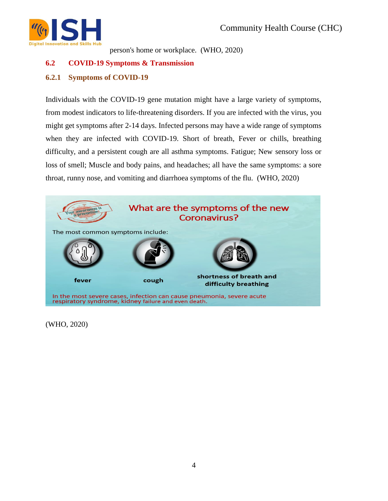

person's home or workplace. (WHO, 2020)

#### **6.2 COVID-19 Symptoms & Transmission**

#### **6.2.1 Symptoms of COVID-19**

Individuals with the COVID-19 gene mutation might have a large variety of symptoms, from modest indicators to life-threatening disorders. If you are infected with the virus, you might get symptoms after 2-14 days. Infected persons may have a wide range of symptoms when they are infected with COVID-19. Short of breath, Fever or chills, breathing difficulty, and a persistent cough are all asthma symptoms. Fatigue; New sensory loss or loss of smell; Muscle and body pains, and headaches; all have the same symptoms: a sore throat, runny nose, and vomiting and diarrhoea symptoms of the flu. (WHO, 2020)



(WHO, 2020)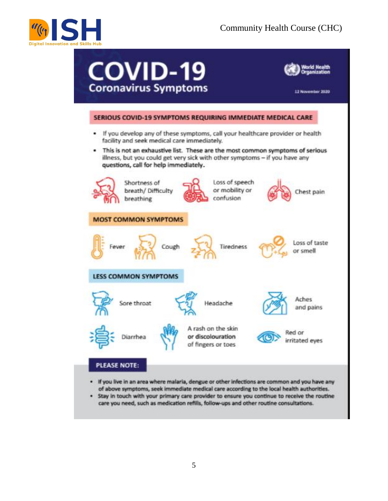

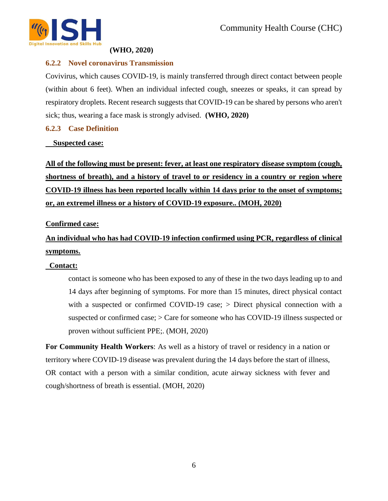

#### **(WHO, 2020)**

#### **6.2.2 Novel coronavirus Transmission**

Covivirus, which causes COVID-19, is mainly transferred through direct contact between people (within about 6 feet). When an individual infected cough, sneezes or speaks, it can spread by respiratory droplets. Recent research suggests that COVID-19 can be shared by persons who aren't sick; thus, wearing a face mask is strongly advised. **(WHO, 2020)**

#### **6.2.3 Case Definition**

#### **Suspected case:**

**All of the following must be present: fever, at least one respiratory disease symptom (cough, shortness of breath), and a history of travel to or residency in a country or region where COVID-19 illness has been reported locally within 14 days prior to the onset of symptoms; or, an extremel illness or a history of COVID-19 exposure.. (MOH, 2020)**

#### **Confirmed case:**

### **An individual who has had COVID-19 infection confirmed using PCR, regardless of clinical symptoms.**

#### **Contact:**

contact is someone who has been exposed to any of these in the two days leading up to and 14 days after beginning of symptoms. For more than 15 minutes, direct physical contact with a suspected or confirmed COVID-19 case; > Direct physical connection with a suspected or confirmed case; > Care for someone who has COVID-19 illness suspected or proven without sufficient PPE;. (MOH, 2020)

**For Community Health Workers**: As well as a history of travel or residency in a nation or territory where COVID-19 disease was prevalent during the 14 days before the start of illness, OR contact with a person with a similar condition, acute airway sickness with fever and cough/shortness of breath is essential. (MOH, 2020)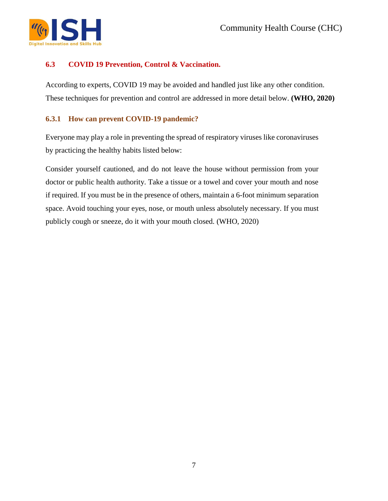

#### **6.3 COVID 19 Prevention, Control & Vaccination.**

According to experts, COVID 19 may be avoided and handled just like any other condition. These techniques for prevention and control are addressed in more detail below. **(WHO, 2020)**

#### **6.3.1 How can prevent COVID-19 pandemic?**

Everyone may play a role in preventing the spread of respiratory viruses like coronaviruses by practicing the healthy habits listed below:

Consider yourself cautioned, and do not leave the house without permission from your doctor or public health authority. Take a tissue or a towel and cover your mouth and nose if required. If you must be in the presence of others, maintain a 6-foot minimum separation space. Avoid touching your eyes, nose, or mouth unless absolutely necessary. If you must publicly cough or sneeze, do it with your mouth closed. (WHO, 2020)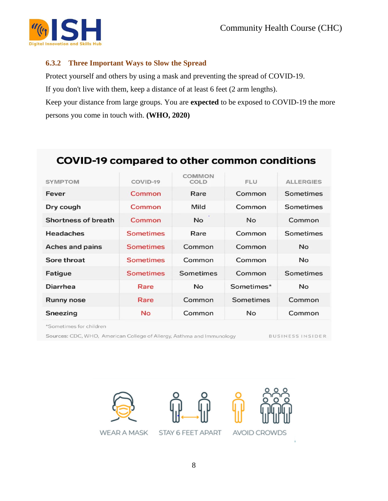

#### **6.3.2 Three Important Ways to Slow the Spread**

Protect yourself and others by using a mask and preventing the spread of COVID-19.

If you don't live with them, keep a distance of at least 6 feet (2 arm lengths).

Keep your distance from large groups. You are **expected** to be exposed to COVID-19 the more persons you come in touch with. **(WHO, 2020)**

### **COVID-19 compared to other common conditions**

| <b>SYMPTOM</b>      | COVID-19         | <b>COMMON</b><br>COLD | <b>FLU</b> | <b>ALLERGIES</b> |
|---------------------|------------------|-----------------------|------------|------------------|
| Fever               | Common           | Rare                  | Common     | Sometimes        |
| Dry cough           | Common           | Mild                  | Common     | Sometimes        |
| Shortness of breath | Common           | No.                   | <b>No</b>  | Common           |
| <b>Headaches</b>    | <b>Sometimes</b> | Rare                  | Common     | Sometimes        |
| Aches and pains     | <b>Sometimes</b> | Common                | Common     | <b>No</b>        |
| Sore throat         | <b>Sometimes</b> | Common                | Common     | <b>No</b>        |
| Fatigue             | <b>Sometimes</b> | Sometimes             | Common     | Sometimes        |
| Diarrhea            | Rare             | <b>No</b>             | Sometimes* | <b>No</b>        |
| <b>Runny nose</b>   | Rare             | Common                | Sometimes  | Common           |
| Sneezing            | <b>No</b>        | Common                | <b>No</b>  | Common           |

\*Sometimes for children

Sources: CDC, WHO, American College of Allergy, Asthma and Immunology

BUSINESS INSIDER

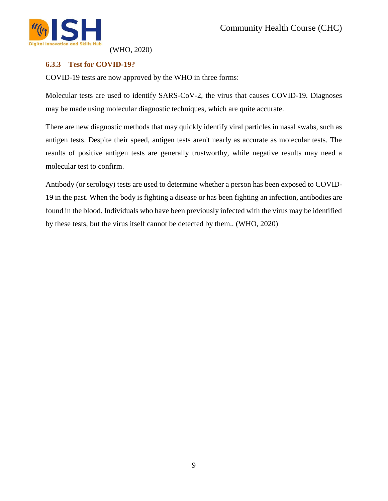

(WHO, 2020)

#### **6.3.3 Test for COVID-19?**

COVID-19 tests are now approved by the WHO in three forms:

Molecular tests are used to identify SARS-CoV-2, the virus that causes COVID-19. Diagnoses may be made using molecular diagnostic techniques, which are quite accurate.

There are new diagnostic methods that may quickly identify viral particles in nasal swabs, such as antigen tests. Despite their speed, antigen tests aren't nearly as accurate as molecular tests. The results of positive antigen tests are generally trustworthy, while negative results may need a molecular test to confirm.

Antibody (or serology) tests are used to determine whether a person has been exposed to COVID-19 in the past. When the body is fighting a disease or has been fighting an infection, antibodies are found in the blood. Individuals who have been previously infected with the virus may be identified by these tests, but the virus itself cannot be detected by them.. (WHO, 2020)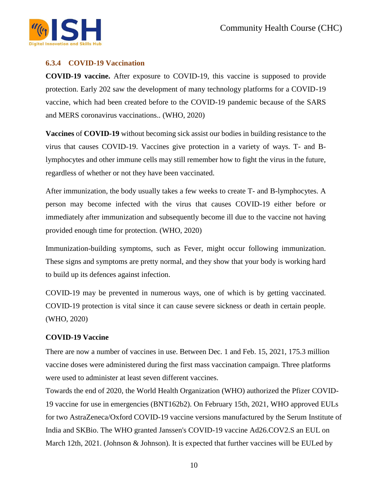

#### **6.3.4 COVID-19 Vaccination**

**COVID-19 vaccine.** After exposure to COVID-19, this vaccine is supposed to provide protection. Early 202 saw the development of many technology platforms for a COVID-19 vaccine, which had been created before to the COVID-19 pandemic because of the SARS and MERS coronavirus vaccinations.. (WHO, 2020)

**Vaccines** of **COVID-19** without becoming sick assist our bodies in building resistance to the virus that causes COVID-19. Vaccines give protection in a variety of ways. T- and Blymphocytes and other immune cells may still remember how to fight the virus in the future, regardless of whether or not they have been vaccinated.

After immunization, the body usually takes a few weeks to create T- and B-lymphocytes. A person may become infected with the virus that causes COVID-19 either before or immediately after immunization and subsequently become ill due to the vaccine not having provided enough time for protection. (WHO, 2020)

Immunization-building symptoms, such as Fever, might occur following immunization. These signs and symptoms are pretty normal, and they show that your body is working hard to build up its defences against infection.

COVID-19 may be prevented in numerous ways, one of which is by getting vaccinated. COVID-19 protection is vital since it can cause severe sickness or death in certain people. (WHO, 2020)

#### **COVID-19 Vaccine**

There are now a number of vaccines in use. Between Dec. 1 and Feb. 15, 2021, 175.3 million vaccine doses were administered during the first mass vaccination campaign. Three platforms were used to administer at least seven different vaccines.

Towards the end of 2020, the World Health Organization (WHO) authorized the Pfizer COVID-19 vaccine for use in emergencies (BNT162b2). On February 15th, 2021, WHO approved EULs for two AstraZeneca/Oxford COVID-19 vaccine versions manufactured by the Serum Institute of India and SKBio. The WHO granted Janssen's COVID-19 vaccine Ad26.COV2.S an EUL on March 12th, 2021. (Johnson & Johnson). It is expected that further vaccines will be EULed by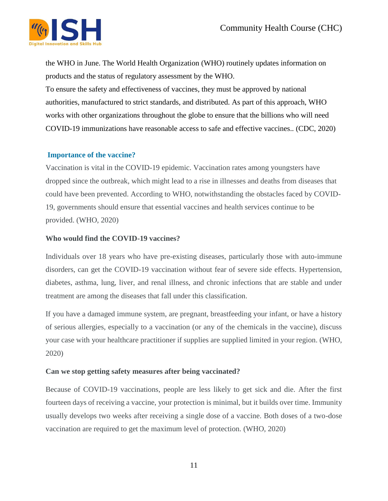

the WHO in June. The World Health Organization (WHO) routinely updates information on products and the status of regulatory assessment by the WHO. To ensure the safety and effectiveness of vaccines, they must be approved by national authorities, manufactured to strict standards, and distributed. As part of this approach, WHO works with other organizations throughout the globe to ensure that the billions who will need COVID-19 immunizations have reasonable access to safe and effective vaccines.. (CDC, 2020)

#### **[Importance of the vaccine?](https://www.who.int/news-room/q-a-detail/vaccines-and-immunization-what-is-vaccination)**

Vaccination is vital in the COVID-19 epidemic. Vaccination rates among youngsters have dropped since the outbreak, which might lead to a rise in illnesses and deaths from diseases that could have been prevented. According to WHO, notwithstanding the obstacles faced by COVID-19, governments should ensure that essential vaccines and health services continue to be provided. (WHO, 2020)

#### **[Who would find the COVID-19 vaccines?](https://www.who.int/news-room/q-a-detail/coronavirus-disease-(covid-19)-vaccines?adgroupsurvey=%7badgroupsurvey%7d&gclid=CjwKCAjwg4-EBhBwEiwAzYAlsriaWhH4uZyzWbz_Gn8VnOhASW2mIIkU-xh04Y7KOQZKFX7gWgunjRoCpTEQAvD_BwE)**

Individuals over 18 years who have pre-existing diseases, particularly those with auto-immune disorders, can get the COVID-19 vaccination without fear of severe side effects. Hypertension, diabetes, asthma, lung, liver, and renal illness, and chronic infections that are stable and under treatment are among the diseases that fall under this classification.

If you have a damaged immune system, are pregnant, breastfeeding your infant, or have a history of serious allergies, especially to a vaccination (or any of the chemicals in the vaccine), discuss your case with your healthcare practitioner if supplies are supplied limited in your region. (WHO, 2020)

#### **[Can we stop getting safety measures after being vaccinated?](https://www.who.int/news-room/q-a-detail/coronavirus-disease-(covid-19)-vaccines?adgroupsurvey=%7badgroupsurvey%7d&gclid=CjwKCAjwg4-EBhBwEiwAzYAlsriaWhH4uZyzWbz_Gn8VnOhASW2mIIkU-xh04Y7KOQZKFX7gWgunjRoCpTEQAvD_BwE)**

Because of COVID-19 vaccinations, people are less likely to get sick and die. After the first fourteen days of receiving a vaccine, your protection is minimal, but it builds over time. Immunity usually develops two weeks after receiving a single dose of a vaccine. Both doses of a two-dose vaccination are required to get the maximum level of protection. (WHO, 2020)